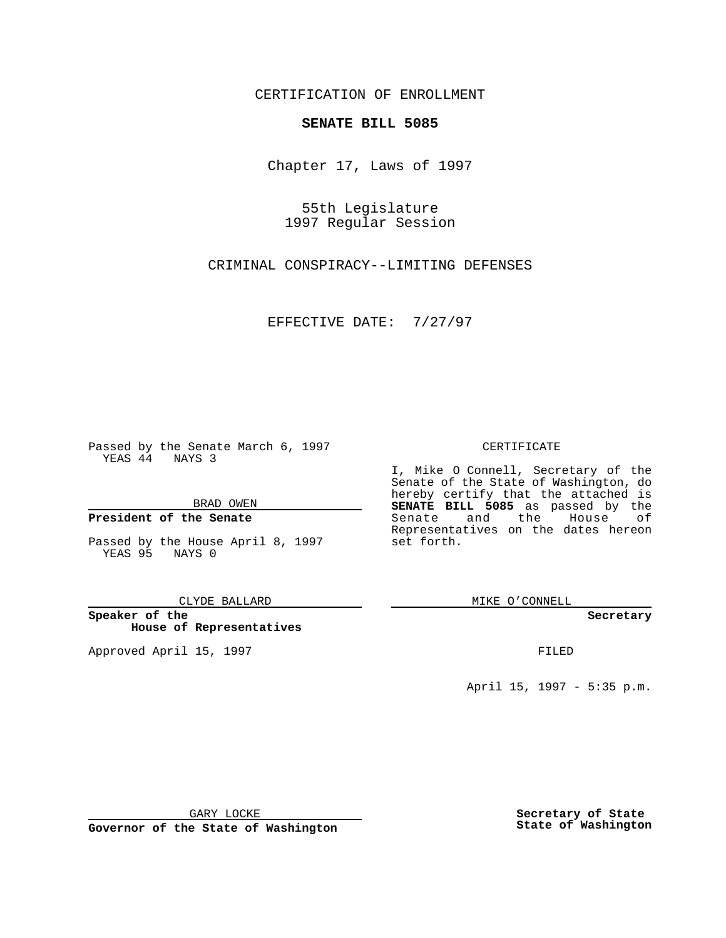CERTIFICATION OF ENROLLMENT

## **SENATE BILL 5085**

Chapter 17, Laws of 1997

55th Legislature 1997 Regular Session

CRIMINAL CONSPIRACY--LIMITING DEFENSES

EFFECTIVE DATE: 7/27/97

Passed by the Senate March 6, 1997 YEAS 44 NAYS 3

BRAD OWEN

### **President of the Senate**

Passed by the House April 8, 1997 YEAS 95 NAYS 0

CLYDE BALLARD

**Speaker of the House of Representatives**

Approved April 15, 1997 **FILED** 

#### CERTIFICATE

I, Mike O Connell, Secretary of the Senate of the State of Washington, do hereby certify that the attached is **SENATE BILL 5085** as passed by the Senate and the House of Representatives on the dates hereon set forth.

MIKE O'CONNELL

#### **Secretary**

April 15, 1997 - 5:35 p.m.

GARY LOCKE

**Governor of the State of Washington**

**Secretary of State State of Washington**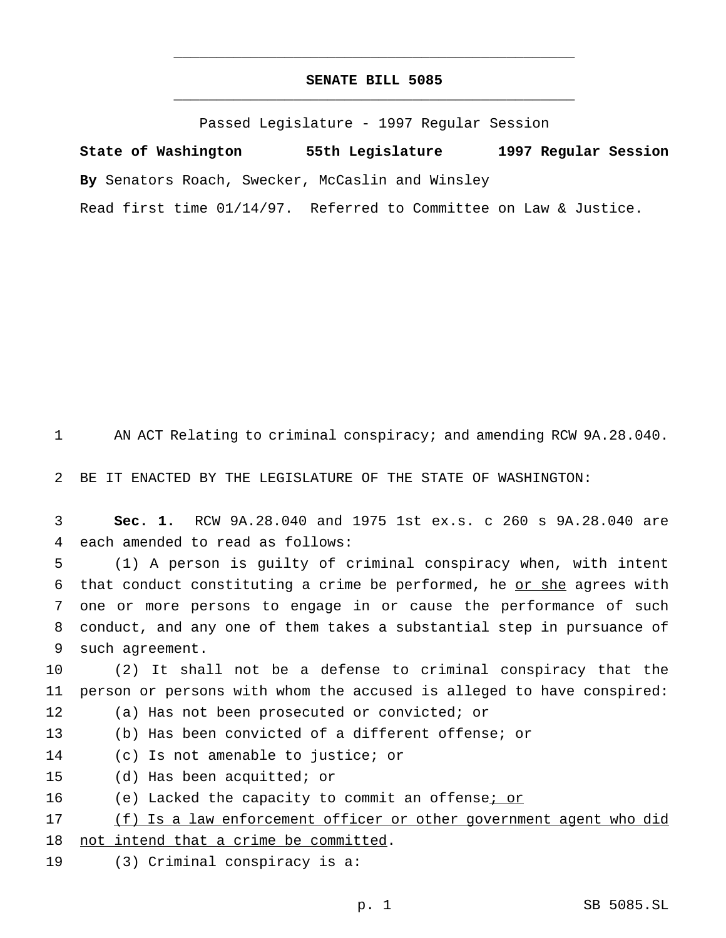# **SENATE BILL 5085** \_\_\_\_\_\_\_\_\_\_\_\_\_\_\_\_\_\_\_\_\_\_\_\_\_\_\_\_\_\_\_\_\_\_\_\_\_\_\_\_\_\_\_\_\_\_\_

\_\_\_\_\_\_\_\_\_\_\_\_\_\_\_\_\_\_\_\_\_\_\_\_\_\_\_\_\_\_\_\_\_\_\_\_\_\_\_\_\_\_\_\_\_\_\_

Passed Legislature - 1997 Regular Session

**State of Washington 55th Legislature 1997 Regular Session By** Senators Roach, Swecker, McCaslin and Winsley

Read first time 01/14/97. Referred to Committee on Law & Justice.

AN ACT Relating to criminal conspiracy; and amending RCW 9A.28.040.

BE IT ENACTED BY THE LEGISLATURE OF THE STATE OF WASHINGTON:

 **Sec. 1.** RCW 9A.28.040 and 1975 1st ex.s. c 260 s 9A.28.040 are each amended to read as follows:

 (1) A person is guilty of criminal conspiracy when, with intent 6 that conduct constituting a crime be performed, he or she agrees with one or more persons to engage in or cause the performance of such conduct, and any one of them takes a substantial step in pursuance of such agreement.

 (2) It shall not be a defense to criminal conspiracy that the person or persons with whom the accused is alleged to have conspired:

(a) Has not been prosecuted or convicted; or

(b) Has been convicted of a different offense; or

(c) Is not amenable to justice; or

(d) Has been acquitted; or

16 (e) Lacked the capacity to commit an offense; or

(f) Is a law enforcement officer or other government agent who did

not intend that a crime be committed.

(3) Criminal conspiracy is a: